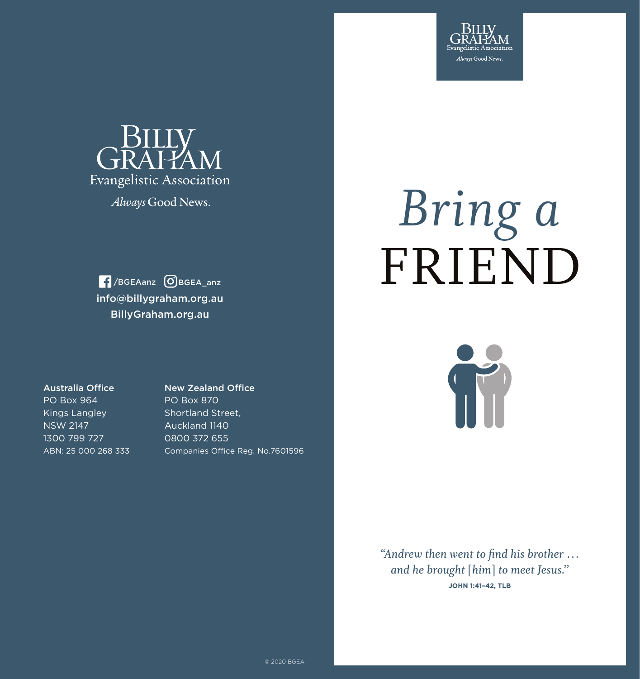



Always Good News.

info@billygraham.org.au BillyGraham.org.au /BGEAanz BGEA\_anz

# FRIEND *Bring a*

Australia Office

PO Box 964 Kings Langley NSW 2147 1300 799 727 ABN: 25 000 268 333 New Zealand Office PO Box 870 Shortland Street, Auckland 1140 0800 372 655 Companies Office Reg. No.7601596 T

*"Andrew then went to find his brother … and he brought* **[***him***]** *to meet Jesus."* **JOHN 1:41–42, TLB**